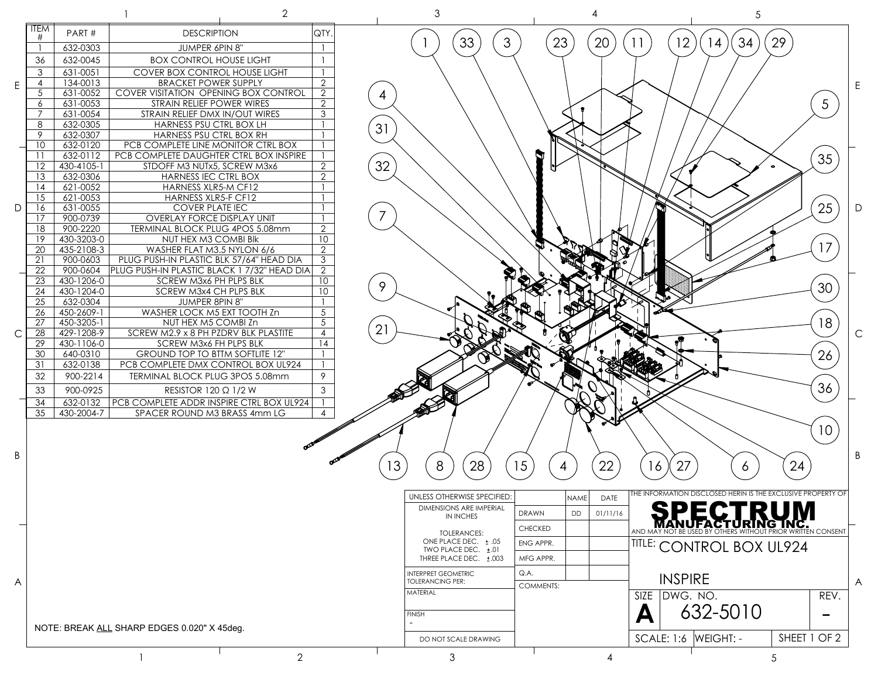|   |                                             |                          |                                                           | $\overline{2}$        |    | $\mathfrak 3$                                         |                  |          |                      | 5                                                            |              |                      |
|---|---------------------------------------------|--------------------------|-----------------------------------------------------------|-----------------------|----|-------------------------------------------------------|------------------|----------|----------------------|--------------------------------------------------------------|--------------|----------------------|
|   | <b>ITEM</b><br>#                            | PART#                    | <b>DESCRIPTION</b>                                        | QTY.                  |    |                                                       |                  |          |                      |                                                              |              |                      |
|   |                                             | 632-0303                 | JUMPER 6PIN 8"                                            |                       |    | 33<br>3                                               | 23               | 20       | $\overline{2}$       | 34<br>4                                                      | 29           |                      |
|   | 36                                          | 632-0045                 | <b>BOX CONTROL HOUSE LIGHT</b>                            |                       |    |                                                       |                  |          |                      |                                                              |              |                      |
|   | 3                                           | 631-0051                 | <b>COVER BOX CONTROL HOUSE LIGHT</b>                      |                       |    |                                                       |                  |          |                      |                                                              |              |                      |
| E | $\overline{4}$                              | 134-0013                 | <b>BRACKET POWER SUPPLY</b>                               | $\overline{2}$        |    |                                                       |                  |          |                      |                                                              |              |                      |
|   | 5                                           | 631-0052                 | COVER VISITATION OPENING BOX CONTROL                      | 2                     | 4  |                                                       |                  |          |                      |                                                              |              |                      |
|   | 6                                           | 631-0053                 | STRAIN RELIEF POWER WIRES                                 | 2                     |    |                                                       |                  |          |                      |                                                              |              | 5                    |
|   | $\overline{7}$<br>8                         | 631-0054<br>632-0305     | STRAIN RELIEF DMX IN/OUT WIRES<br>HARNESS PSU CTRL BOX LH | 3                     |    |                                                       |                  |          |                      |                                                              |              |                      |
|   | 9                                           | 632-0307                 | HARNESS PSU CTRL BOX RH                                   |                       | 31 |                                                       |                  |          |                      |                                                              |              |                      |
|   | 10                                          | 632-0120                 | PCB COMPLETE LINE MONITOR CTRL BOX                        |                       |    |                                                       |                  |          |                      |                                                              |              |                      |
|   | $\overline{11}$                             | 632-0112                 | PCB COMPLETE DAUGHTER CTRL BOX INSPIRE                    |                       |    |                                                       |                  |          |                      |                                                              |              | 35                   |
|   | 12                                          | 430-4105-1               | STDOFF M3 NUTx5, SCREW M3x6                               | 2                     | 32 |                                                       |                  |          |                      |                                                              |              |                      |
|   | 13                                          | 632-0306                 | HARNESS IEC CTRL BOX                                      | 2                     |    |                                                       |                  |          |                      |                                                              |              |                      |
|   | 14                                          | 621-0052                 | HARNESS XLR5-M CF12                                       |                       |    |                                                       |                  |          |                      |                                                              |              |                      |
|   | 15<br>16                                    | 621-0053<br>631-0055     | HARNESS XLR5-F CF12<br><b>COVER PLATE IEC</b>             |                       |    |                                                       |                  |          |                      |                                                              |              |                      |
| D | 17                                          | 900-0739                 | <b>OVERLAY FORCE DISPLAY UNIT</b>                         |                       |    |                                                       |                  |          |                      |                                                              |              | 25                   |
|   | 18                                          | 900-2220                 | TERMINAL BLOCK PLUG 4POS 5.08mm                           | $\overline{2}$        |    |                                                       |                  |          |                      |                                                              |              |                      |
|   | 19                                          | 430-3203-0               | NUT HEX M3 COMBI BIK                                      | 10                    |    |                                                       |                  |          |                      |                                                              |              |                      |
|   | 20                                          | 435-2108-3               | WASHER FLAT M3.5 NYLON 6/6                                | $\overline{2}$        |    |                                                       |                  |          |                      |                                                              |              | 17                   |
|   | 21                                          | 900-0603                 | PLUG PUSH-IN PLASTIC BLK 57/64" HEAD DIA                  | $\mathbf{3}$          |    |                                                       |                  |          |                      |                                                              |              |                      |
|   | 22                                          | 900-0604                 | PLUG PUSH-IN PLASTIC BLACK 1 7/32" HEAD DIA               | 2                     |    |                                                       |                  |          |                      |                                                              |              |                      |
|   | 23<br>24                                    | 430-1206-0<br>430-1204-0 | SCREW M3x6 PH PLPS BLK<br>SCREW M3x4 CH PLPS BLK          | 10<br>10 <sup>°</sup> | 9  |                                                       |                  |          |                      |                                                              |              | 30                   |
|   | 25                                          | 632-0304                 | JUMPER 8PIN 8"                                            |                       |    |                                                       |                  |          |                      |                                                              |              |                      |
|   | 26                                          | 450-2609-1               | WASHER LOCK M5 EXT TOOTH Zn                               | 5                     |    |                                                       |                  |          |                      |                                                              |              |                      |
|   | 27                                          | 450-3205-1               | NUT HEX M5 COMBI Zn                                       | 5                     |    |                                                       |                  |          |                      |                                                              |              | 18                   |
| C | 28                                          | 429-1208-9               | SCREW M2.9 x 8 PH PZDRV BLK PLASTITE                      | $\overline{4}$        | 21 |                                                       |                  |          |                      |                                                              |              |                      |
|   | 29                                          | 430-1106-0               | SCREW M3x6 FH PLPS BLK                                    | 14                    |    |                                                       |                  |          |                      |                                                              |              |                      |
|   | 30                                          | 640-0310                 | <b>GROUND TOP TO BTTM SOFTLITE 12"</b>                    |                       |    |                                                       |                  |          |                      |                                                              |              | 26                   |
|   | 31                                          | 632-0138                 | PCB COMPLETE DMX CONTROL BOX UL924                        |                       |    |                                                       |                  |          |                      |                                                              |              |                      |
|   | 32                                          | 900-2214                 | TERMINAL BLOCK PLUG 3POS 5.08mm                           | 9                     |    |                                                       |                  |          |                      |                                                              |              |                      |
|   | 33                                          | 900-0925                 | RESISTOR 120 Ω 1/2 W                                      | 3                     |    |                                                       |                  |          |                      |                                                              |              | 36                   |
|   | 34                                          | 632-0132                 | PCB COMPLETE ADDR INSPIRE CTRL BOX UL924                  |                       |    |                                                       |                  |          |                      |                                                              |              |                      |
|   | 35                                          | 430-2004-7               | SPACER ROUND M3 BRASS 4mm LG                              | 4                     |    |                                                       |                  |          |                      |                                                              |              |                      |
|   |                                             |                          |                                                           |                       |    |                                                       |                  |          |                      |                                                              |              | 10 <sup>°</sup>      |
|   |                                             |                          |                                                           |                       |    |                                                       |                  |          |                      |                                                              |              |                      |
| B |                                             |                          |                                                           |                       |    |                                                       |                  |          |                      |                                                              |              |                      |
|   |                                             |                          |                                                           |                       | IЗ | 28<br>8                                               | 15<br>4          | 22       | 27<br>16             | 6                                                            | 24           |                      |
|   |                                             |                          |                                                           |                       |    |                                                       |                  |          |                      |                                                              |              |                      |
|   |                                             |                          |                                                           |                       |    | UNLESS OTHERWISE SPECIFIED:                           |                  |          |                      | THE INFORMATION DISCLOSED HERIN IS THE EXCLUSIVE PROPERTY OF |              |                      |
|   |                                             |                          |                                                           |                       |    |                                                       | <b>NAME</b>      | DATE     |                      |                                                              |              |                      |
|   |                                             |                          |                                                           |                       |    | DIMENSIONS ARE IMPERIAL<br><b>IN INCHES</b>           | DRAWN<br>DD      | 01/11/16 |                      | <b>PECTRUM</b>                                               |              |                      |
|   |                                             |                          |                                                           |                       |    | <b>TOLERANCES:</b>                                    | <b>CHECKED</b>   |          | AND MAY              |                                                              |              | <b>ITTEN CONSENT</b> |
|   |                                             |                          |                                                           |                       |    | ONE PLACE DEC. ± .05                                  | ENG APPR.        |          |                      |                                                              |              |                      |
|   |                                             |                          |                                                           |                       |    | TWO PLACE DEC. ±.01                                   |                  |          |                      | TITLE: CONTROL BOX UL924                                     |              |                      |
|   |                                             |                          |                                                           |                       |    | THREE PLACE DEC. ±.003                                | MFG APPR.        |          |                      |                                                              |              |                      |
|   |                                             |                          |                                                           |                       |    | <b>INTERPRET GEOMETRIC</b><br><b>TOLERANCING PER:</b> | Q.A.             |          | <b>INSPIRE</b>       |                                                              |              | $\overline{A}$       |
| A |                                             |                          |                                                           |                       |    | MATERIAL                                              | <b>COMMENTS:</b> |          |                      |                                                              |              |                      |
|   |                                             |                          |                                                           |                       |    |                                                       |                  |          | SIZE DWG. NO.        |                                                              |              | REV.                 |
|   |                                             |                          |                                                           |                       |    | <b>FINISH</b>                                         |                  |          | А                    | 632-5010                                                     |              |                      |
|   | NOTE: BREAK ALL SHARP EDGES 0.020" X 45deg. |                          |                                                           |                       |    |                                                       |                  |          |                      |                                                              |              |                      |
|   |                                             |                          |                                                           |                       |    | DO NOT SCALE DRAWING                                  |                  |          | SCALE: 1:6 WEIGHT: - |                                                              | SHEET 1 OF 2 |                      |
|   |                                             |                          |                                                           |                       |    |                                                       |                  |          |                      |                                                              |              |                      |
|   |                                             |                          |                                                           | $\overline{2}$        |    | 3                                                     |                  | 4        |                      | 5                                                            |              |                      |